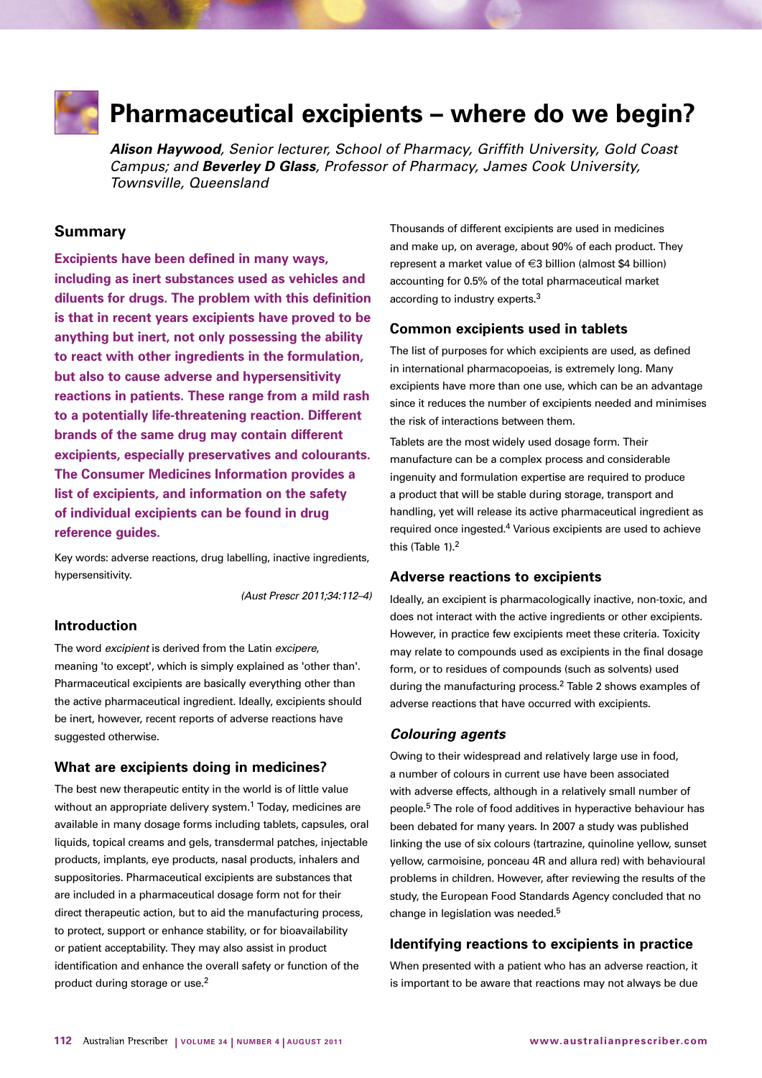

# **Pharmaceutical excipients – where do we begin?**

*Alison Haywood, Senior lecturer, School of Pharmacy, Griffith University, Gold Coast Campus; and Beverley D Glass, Professor of Pharmacy, James Cook University, Townsville, Queensland*

# **Summary**

**Excipients have been defined in many ways, including as inert substances used as vehicles and diluents for drugs. The problem with this definition is that in recent years excipients have proved to be anything but inert, not only possessing the ability to react with other ingredients in the formulation, but also to cause adverse and hypersensitivity reactions in patients. These range from a mild rash to a potentially life-threatening reaction. Different brands of the same drug may contain different excipients, especially preservatives and colourants. The Consumer Medicines Information provides a list of excipients, and information on the safety of individual excipients can be found in drug reference guides.** 

Key words: adverse reactions, drug labelling, inactive ingredients, hypersensitivity.

*(Aust Prescr 2011;34:112–4)*

## **Introduction**

The word *excipient* is derived from the Latin *excipere*, meaning 'to except', which is simply explained as 'other than'. Pharmaceutical excipients are basically everything other than the active pharmaceutical ingredient. Ideally, excipients should be inert, however, recent reports of adverse reactions have suggested otherwise.

#### **What are excipients doing in medicines?**

The best new therapeutic entity in the world is of little value without an appropriate delivery system.<sup>1</sup> Today, medicines are available in many dosage forms including tablets, capsules, oral liquids, topical creams and gels, transdermal patches, injectable products, implants, eye products, nasal products, inhalers and suppositories. Pharmaceutical excipients are substances that are included in a pharmaceutical dosage form not for their direct therapeutic action, but to aid the manufacturing process, to protect, support or enhance stability, or for bioavailability or patient acceptability. They may also assist in product identification and enhance the overall safety or function of the product during storage or use.2

Thousands of different excipients are used in medicines and make up, on average, about 90% of each product. They represent a market value of €3 billion (almost \$4 billion) accounting for 0.5% of the total pharmaceutical market according to industry experts.3

## **Common excipients used in tablets**

The list of purposes for which excipients are used, as defined in international pharmacopoeias, is extremely long. Many excipients have more than one use, which can be an advantage since it reduces the number of excipients needed and minimises the risk of interactions between them.

Tablets are the most widely used dosage form. Their manufacture can be a complex process and considerable ingenuity and formulation expertise are required to produce a product that will be stable during storage, transport and handling, yet will release its active pharmaceutical ingredient as required once ingested.4 Various excipients are used to achieve this (Table 1).2

#### **Adverse reactions to excipients**

Ideally, an excipient is pharmacologically inactive, non-toxic, and does not interact with the active ingredients or other excipients. However, in practice few excipients meet these criteria. Toxicity may relate to compounds used as excipients in the final dosage form, or to residues of compounds (such as solvents) used during the manufacturing process.2 Table 2 shows examples of adverse reactions that have occurred with excipients.

#### *Colouring agents*

Owing to their widespread and relatively large use in food, a number of colours in current use have been associated with adverse effects, although in a relatively small number of people.5 The role of food additives in hyperactive behaviour has been debated for many years. In 2007 a study was published linking the use of six colours (tartrazine, quinoline yellow, sunset yellow, carmoisine, ponceau 4R and allura red) with behavioural problems in children. However, after reviewing the results of the study, the European Food Standards Agency concluded that no change in legislation was needed.5

## **Identifying reactions to excipients in practice**

When presented with a patient who has an adverse reaction, it is important to be aware that reactions may not always be due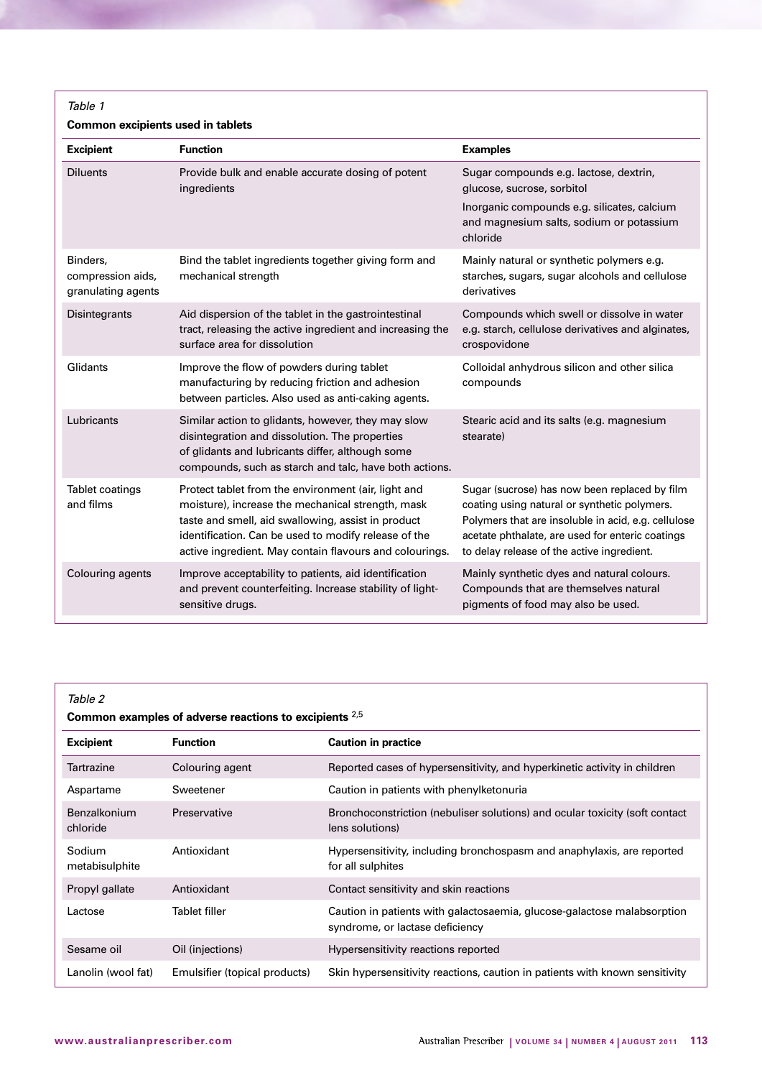*Table 1*

# **Common excipients used in tablets**

| <b>Excipient</b>                                    | <b>Function</b>                                                                                                                                                                                                                                                                                                                                                                                                                                                                                                                             | <b>Examples</b>                                                                                                           |
|-----------------------------------------------------|---------------------------------------------------------------------------------------------------------------------------------------------------------------------------------------------------------------------------------------------------------------------------------------------------------------------------------------------------------------------------------------------------------------------------------------------------------------------------------------------------------------------------------------------|---------------------------------------------------------------------------------------------------------------------------|
| <b>Diluents</b>                                     | Provide bulk and enable accurate dosing of potent<br>ingredients                                                                                                                                                                                                                                                                                                                                                                                                                                                                            | Sugar compounds e.g. lactose, dextrin,<br>glucose, sucrose, sorbitol                                                      |
|                                                     |                                                                                                                                                                                                                                                                                                                                                                                                                                                                                                                                             | Inorganic compounds e.g. silicates, calcium<br>and magnesium salts, sodium or potassium<br>chloride                       |
| Binders,<br>compression aids,<br>granulating agents | Bind the tablet ingredients together giving form and<br>Mainly natural or synthetic polymers e.g.<br>mechanical strength<br>starches, sugars, sugar alcohols and cellulose<br>derivatives                                                                                                                                                                                                                                                                                                                                                   |                                                                                                                           |
| Disintegrants                                       | Aid dispersion of the tablet in the gastrointestinal<br>Compounds which swell or dissolve in water<br>tract, releasing the active ingredient and increasing the<br>e.g. starch, cellulose derivatives and alginates,<br>surface area for dissolution<br>crospovidone                                                                                                                                                                                                                                                                        |                                                                                                                           |
| Glidants                                            | Improve the flow of powders during tablet<br>Colloidal anhydrous silicon and other silica<br>manufacturing by reducing friction and adhesion<br>compounds<br>between particles. Also used as anti-caking agents.                                                                                                                                                                                                                                                                                                                            |                                                                                                                           |
| Lubricants                                          | Similar action to glidants, however, they may slow<br>Stearic acid and its salts (e.g. magnesium<br>disintegration and dissolution. The properties<br>stearate)<br>of glidants and lubricants differ, although some<br>compounds, such as starch and talc, have both actions.                                                                                                                                                                                                                                                               |                                                                                                                           |
| Tablet coatings<br>and films                        | Sugar (sucrose) has now been replaced by film<br>Protect tablet from the environment (air, light and<br>moisture), increase the mechanical strength, mask<br>coating using natural or synthetic polymers.<br>Polymers that are insoluble in acid, e.g. cellulose<br>taste and smell, aid swallowing, assist in product<br>identification. Can be used to modify release of the<br>acetate phthalate, are used for enteric coatings<br>active ingredient. May contain flavours and colourings.<br>to delay release of the active ingredient. |                                                                                                                           |
| Colouring agents                                    | Improve acceptability to patients, aid identification<br>and prevent counterfeiting. Increase stability of light-<br>sensitive drugs.                                                                                                                                                                                                                                                                                                                                                                                                       | Mainly synthetic dyes and natural colours.<br>Compounds that are themselves natural<br>pigments of food may also be used. |

| Table 2                                                |                               |                                                                                                            |  |
|--------------------------------------------------------|-------------------------------|------------------------------------------------------------------------------------------------------------|--|
| Common examples of adverse reactions to excipients 2,5 |                               |                                                                                                            |  |
| <b>Excipient</b>                                       | <b>Function</b>               | <b>Caution in practice</b>                                                                                 |  |
| Tartrazine                                             | Colouring agent               | Reported cases of hypersensitivity, and hyperkinetic activity in children                                  |  |
| Aspartame                                              | Sweetener                     | Caution in patients with phenylketonuria                                                                   |  |
| Benzalkonium<br>chloride                               | Preservative                  | Bronchoconstriction (nebuliser solutions) and ocular toxicity (soft contact<br>lens solutions)             |  |
| Sodium<br>metabisulphite                               | Antioxidant                   | Hypersensitivity, including bronchospasm and anaphylaxis, are reported<br>for all sulphites                |  |
| Propyl gallate                                         | Antioxidant                   | Contact sensitivity and skin reactions                                                                     |  |
| Lactose                                                | Tablet filler                 | Caution in patients with galactosaemia, glucose-galactose malabsorption<br>syndrome, or lactase deficiency |  |
| Sesame oil                                             | Oil (injections)              | Hypersensitivity reactions reported                                                                        |  |
| Lanolin (wool fat)                                     | Emulsifier (topical products) | Skin hypersensitivity reactions, caution in patients with known sensitivity                                |  |